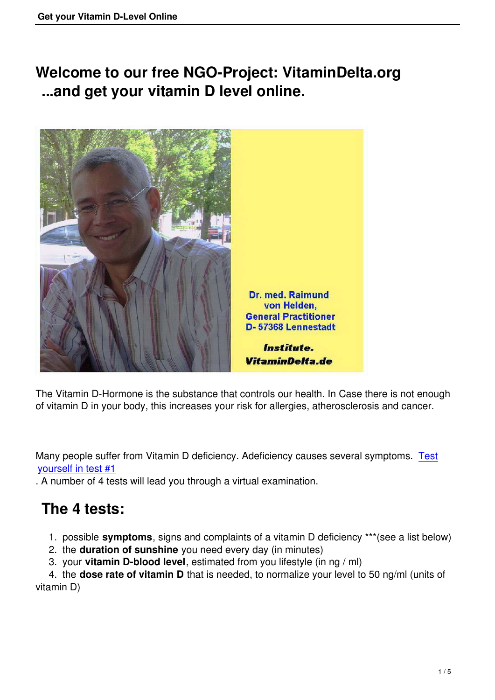**Welcome to our free NGO-Project: VitaminDelta.org ...and get your vitamin D level online.**



The Vitamin D-Hormone is the substance that controls our health. In Case there is not enough of vitamin D in your body, this increases your risk for allergies, atherosclerosis and cancer.

Many people suffer from Vitamin D deficiency. Adeficiency causes several symptoms. Test yourself in test #1

. A number of 4 tests will lead you through a virtual examination.

## **[The 4 tests](index.php/1st-test-my-symptoms-of-vitamin-d-deficiency.html):**

1. possible **symptoms**, signs and complaints of a vitamin D deficiency \*\*\*(see a list below)

2. the **duration of sunshine** you need every day (in minutes)

3. your **vitamin D-blood level**, estimated from you lifestyle (in ng / ml)

 4. the **dose rate of vitamin D** that is needed, to normalize your level to 50 ng/ml (units of vitamin D)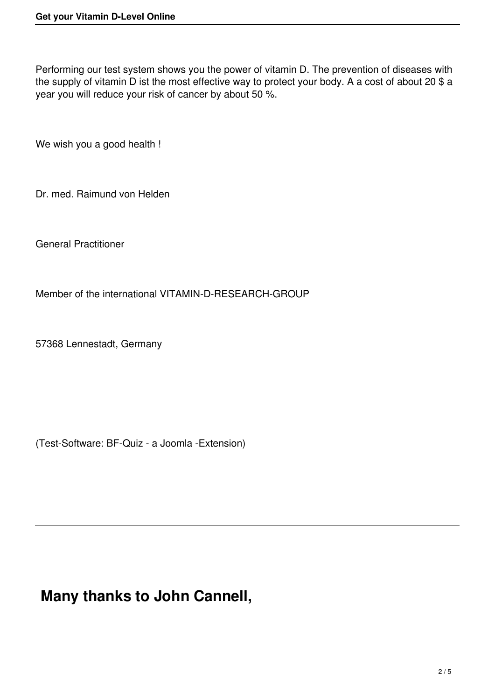Performing our test system shows you the power of vitamin D. The prevention of diseases with the supply of vitamin D ist the most effective way to protect your body. A a cost of about 20 \$ a year you will reduce your risk of cancer by about 50 %.

We wish you a good health !

Dr. med. Raimund von Helden

General Practitioner

Member of the international VITAMIN-D-RESEARCH-GROUP

57368 Lennestadt, Germany

(Test-Software: BF-Quiz - a Joomla -Extension)

### **Many thanks to John Cannell,**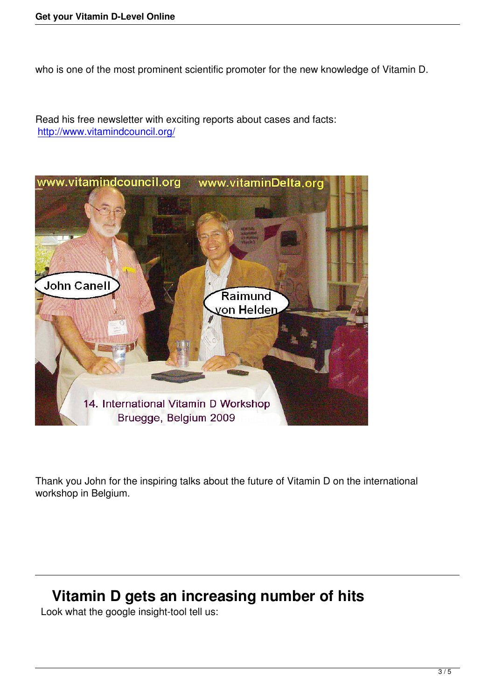who is one of the most prominent scientific promoter for the new knowledge of Vitamin D.

Read his free newsletter with exciting reports about cases and facts: http://www.vitamindcouncil.org/



Thank you John for the inspiring talks about the future of Vitamin D on the international workshop in Belgium.

# **Vitamin D gets an increasing number of hits**

Look what the google insight-tool tell us: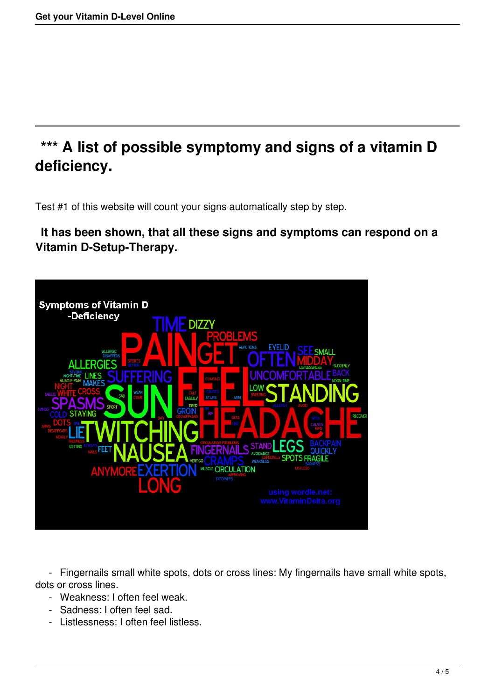# **\*\*\* A list of possible symptomy and signs of a vitamin D deficiency.**

Test #1 of this website will count your signs automatically step by step.

#### **It has been shown, that all these signs and symptoms can respond on a Vitamin D-Setup-Therapy.**



 - Fingernails small white spots, dots or cross lines: My fingernails have small white spots, dots or cross lines.

- Weakness: I often feel weak.
- Sadness: I often feel sad.
- Listlessness: I often feel listless.